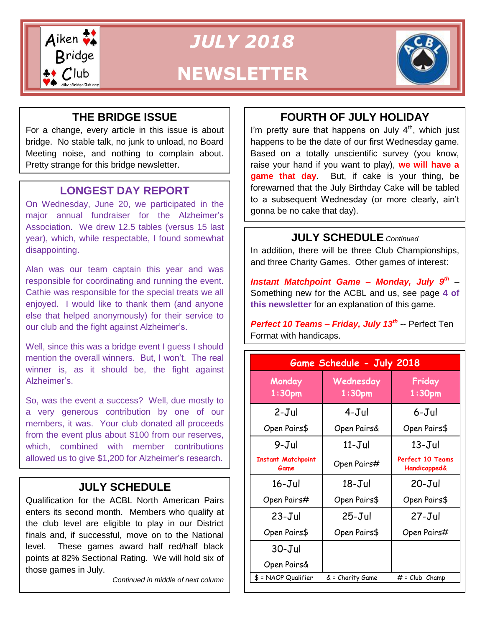

*JULY 2018* **NEWSLETTER**



# **THE BRIDGE ISSUE**

For a change, every article in this issue is about bridge. No stable talk, no junk to unload, no Board Meeting noise, and nothing to complain about. Pretty strange for this bridge newsletter.

# **LONGEST DAY REPORT**

On Wednesday, June 20, we participated in the major annual fundraiser for the Alzheimer's Association. We drew 12.5 tables (versus 15 last year), which, while respectable, I found somewhat disappointing.

Alan was our team captain this year and was responsible for coordinating and running the event. Cathie was responsible for the special treats we all enjoyed. I would like to thank them (and anyone else that helped anonymously) for their service to our club and the fight against Alzheimer's.

Well, since this was a bridge event I guess I should mention the overall winners. But, I won't. The real winner is, as it should be, the fight against Alzheimer's.

So, was the event a success? Well, due mostly to a very generous contribution by one of our members, it was. Your club donated all proceeds from the event plus about \$100 from our reserves, which, combined with member contributions allowed us to give \$1,200 for Alzheimer's research.

# **JULY SCHEDULE**

Qualification for the ACBL North American Pairs enters its second month. Members who qualify at the club level are eligible to play in our District finals and, if successful, move on to the National level. These games award half red/half black points at 82% Sectional Rating. We will hold six of those games in July.

*Continued in middle of next column*

# **FOURTH OF JULY HOLIDAY**

I'm pretty sure that happens on July  $4<sup>th</sup>$ , which just happens to be the date of our first Wednesday game. Based on a totally unscientific survey (you know, raise your hand if you want to play), **we will have a game that day**. But, if cake is your thing, be forewarned that the July Birthday Cake will be tabled to a subsequent Wednesday (or more clearly, ain't gonna be no cake that day).

### **JULY SCHEDULE** *Continued*

In addition, there will be three Club Championships, and three Charity Games. Other games of interest:

Instant Matchpoint Game - Monday, July 9<sup>th</sup> -Something new for the ACBL and us, see page **4 of this newsletter** for an explanation of this game.

*Perfect 10 Teams – Friday, July 13th* -- Perfect Ten Format with handicaps.

| Game Schedule - July 2018         |                                 |                                             |  |  |  |  |  |
|-----------------------------------|---------------------------------|---------------------------------------------|--|--|--|--|--|
| Monday<br>1:30 <sub>pm</sub>      | Wednesday<br>1:30 <sub>pm</sub> | Friday<br>1:30 <sub>pm</sub>                |  |  |  |  |  |
| 2-Jul                             | 4-Jul                           | 6-Jul                                       |  |  |  |  |  |
| Open Pairs\$                      | Open Pairs&                     | Open Pairs\$                                |  |  |  |  |  |
| 9-Jul                             | $11 - J$ ul                     | $13 - J$ ul                                 |  |  |  |  |  |
| <b>Instant Matchpoint</b><br>Game | Open Pairs#                     | Perfect 10 Teams<br><b>Handicapped&amp;</b> |  |  |  |  |  |
| $16 - Jul$                        | $18 - J$ ul                     | $20 - Jul$                                  |  |  |  |  |  |
| Open Pairs#                       | Open Pairs\$                    | Open Pairs\$                                |  |  |  |  |  |
| $23 - Jul$                        | $25 - Jul$                      | $27 - J$ ul                                 |  |  |  |  |  |
| Open Pairs\$                      | Open Pairs\$                    | Open Pairs#                                 |  |  |  |  |  |
| $30 - J$ ul                       |                                 |                                             |  |  |  |  |  |
| Open Pairs&                       |                                 |                                             |  |  |  |  |  |
| \$ = NAOP Qualifier               | & = Charity Game                | $#$ = $Club$ $Champ$                        |  |  |  |  |  |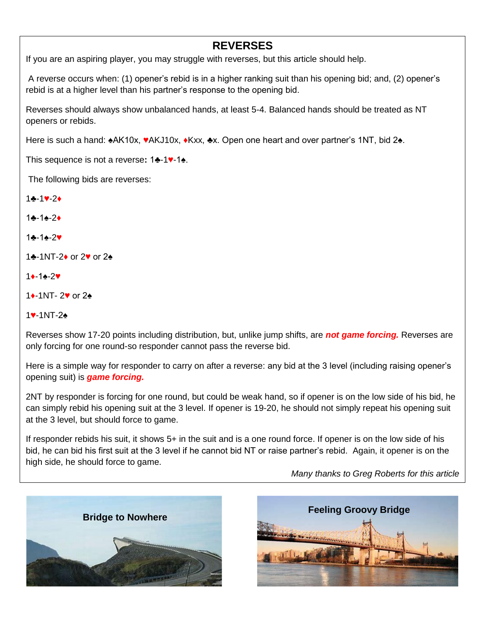### **REVERSES**

If you are an aspiring player, you may struggle with reverses, but this article should help.

A reverse occurs when: (1) opener's rebid is in a higher ranking suit than his opening bid; and, (2) opener's rebid is at a higher level than his partner's response to the opening bid.

Reverses should always show unbalanced hands, at least 5-4. Balanced hands should be treated as NT openers or rebids.

Here is such a hand: ♠AK10x, **♥**AKJ10x, **♦**Kxx, ♣x. Open one heart and over partner's 1NT, bid 2♠.

This sequence is not a reverse**:** 1♣-1**♥**-1♠.

The following bids are reverses:

1♣-1**♥**-2**♦** 1♣-1♠-2**♦** 1♣-1♠-2**♥** 1♣-1NT-2**♦** or 2**♥** or 2♠ 1**♦**-1♠-2**♥**

1**♦**-1NT- 2**♥** or 2♠

1**♥**-1NT-2♠

Reverses show 17-20 points including distribution, but, unlike jump shifts, are *not game forcing.* Reverses are only forcing for one round-so responder cannot pass the reverse bid.

Here is a simple way for responder to carry on after a reverse: any bid at the 3 level (including raising opener's opening suit) is *game forcing.*

2NT by responder is forcing for one round, but could be weak hand, so if opener is on the low side of his bid, he can simply rebid his opening suit at the 3 level. If opener is 19-20, he should not simply repeat his opening suit at the 3 level, but should force to game.

If responder rebids his suit, it shows 5+ in the suit and is a one round force. If opener is on the low side of his bid, he can bid his first suit at the 3 level if he cannot bid NT or raise partner's rebid. Again, it opener is on the high side, he should force to game.

*Many thanks to Greg Roberts for this article*



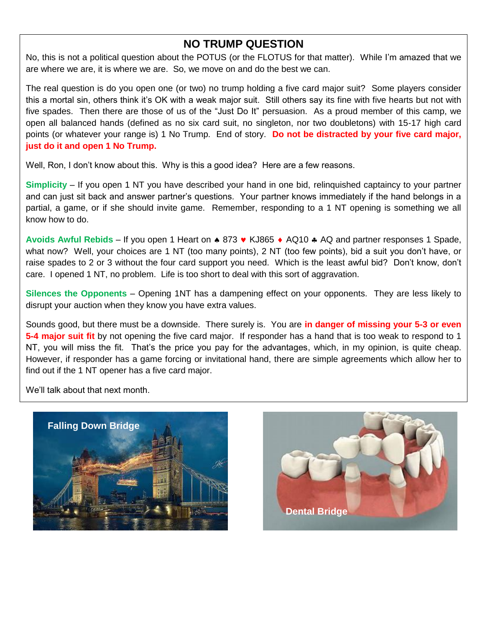### **NO TRUMP QUESTION**

No, this is not a political question about the POTUS (or the FLOTUS for that matter). While I'm amazed that we are where we are, it is where we are. So, we move on and do the best we can.

 The real question is do you open one (or two) no trump holding a five card major suit? Some players consider this a mortal sin, others think it's OK with a weak major suit. Still others say its fine with five hearts but not with five spades. Then there are those of us of the "Just Do It" persuasion. As a proud member of this camp, we open all balanced hands (defined as no six card suit, no singleton, nor two doubletons) with 15-17 high card points (or whatever your range is) 1 No Trump. End of story. **Do not be distracted by your five card major, just do it and open 1 No Trump.**

Well, Ron, I don't know about this. Why is this a good idea? Here are a few reasons.

**Simplicity** – If you open 1 NT you have described your hand in one bid, relinquished captaincy to your partner and can just sit back and answer partner's questions. Your partner knows immediately if the hand belongs in a partial, a game, or if she should invite game. Remember, responding to a 1 NT opening is something we all know how to do.

Avoids Awful Rebids – If you open 1 Heart on ▲ 873  $\blacktriangledown$  KJ865 ♦ AQ10 & AQ and partner responses 1 Spade, what now? Well, your choices are 1 NT (too many points), 2 NT (too few points), bid a suit you don't have, or raise spades to 2 or 3 without the four card support you need. Which is the least awful bid? Don't know, don't care. I opened 1 NT, no problem. Life is too short to deal with this sort of aggravation.

**Silences the Opponents** – Opening 1NT has a dampening effect on your opponents. They are less likely to disrupt your auction when they know you have extra values.

Sounds good, but there must be a downside. There surely is. You are **in danger of missing your 5-3 or even 5-4 major suit fit** by not opening the five card major. If responder has a hand that is too weak to respond to 1 NT, you will miss the fit. That's the price you pay for the advantages, which, in my opinion, is quite cheap. However, if responder has a game forcing or invitational hand, there are simple agreements which allow her to find out if the 1 NT opener has a five card major.

We'll talk about that next month.